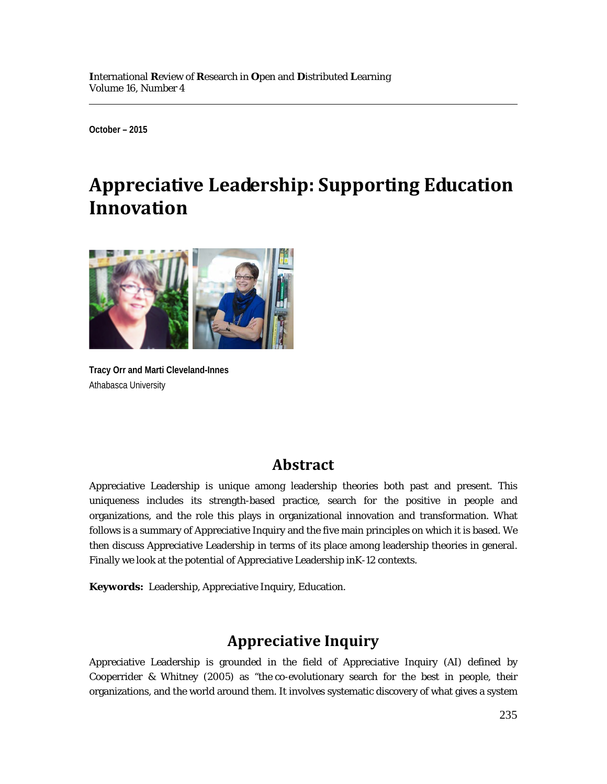**October – 2015**

# **Appreciative Leadership: Supporting Education Innovation**



**Tracy Orr and Marti Cleveland-Innes** Athabasca University

#### **Abstract**

Appreciative Leadership is unique among leadership theories both past and present. This uniqueness includes its strength-based practice, search for the positive in people and organizations, and the role this plays in organizational innovation and transformation. What follows is a summary of Appreciative Inquiry and the five main principles on which it is based. We then discuss Appreciative Leadership in terms of its place among leadership theories in general. Finally we look at the potential of Appreciative Leadership inK-12 contexts.

**Keywords:** Leadership, Appreciative Inquiry, Education.

### **Appreciative Inquiry**

Appreciative Leadership is grounded in the field of Appreciative Inquiry (AI) defined by Cooperrider & Whitney (2005) as "the co-evolutionary search for the best in people, their organizations, and the world around them. It involves systematic discovery of what gives a system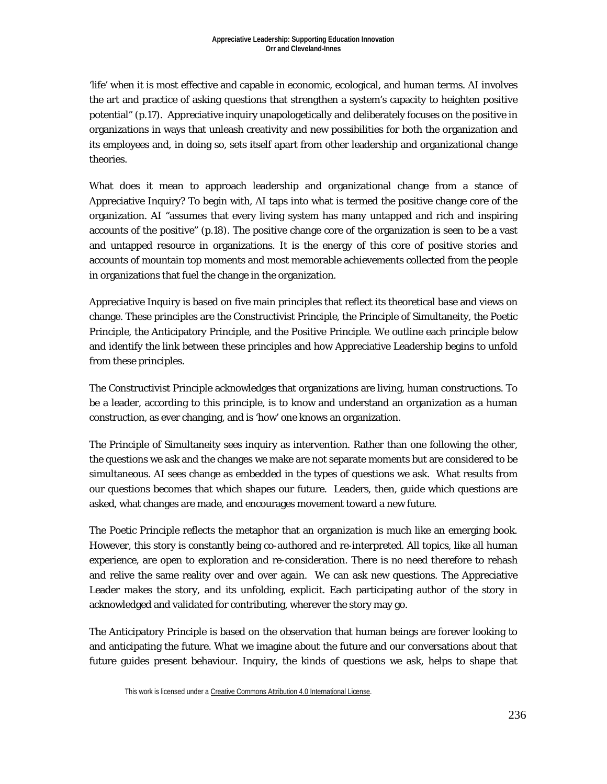'life' when it is most effective and capable in economic, ecological, and human terms. AI involves the art and practice of asking questions that strengthen a system's capacity to heighten positive potential" (p.17). Appreciative inquiry unapologetically and deliberately focuses on the positive in organizations in ways that unleash creativity and new possibilities for both the organization and its employees and, in doing so, sets itself apart from other leadership and organizational change theories.

What does it mean to approach leadership and organizational change from a stance of Appreciative Inquiry? To begin with, AI taps into what is termed the positive change core of the organization. AI "assumes that every living system has many untapped and rich and inspiring accounts of the positive" (p.18). The positive change core of the organization is seen to be a vast and untapped resource in organizations. It is the energy of this core of positive stories and accounts of mountain top moments and most memorable achievements collected from the people in organizations that fuel the change in the organization.

Appreciative Inquiry is based on five main principles that reflect its theoretical base and views on change. These principles are the Constructivist Principle, the Principle of Simultaneity, the Poetic Principle, the Anticipatory Principle, and the Positive Principle. We outline each principle below and identify the link between these principles and how Appreciative Leadership begins to unfold from these principles.

The Constructivist Principle acknowledges that organizations are living, human constructions. To be a leader, according to this principle, is to know and understand an organization as a human construction, as ever changing, and is 'how' one knows an organization.

The Principle of Simultaneity sees inquiry as intervention. Rather than one following the other, the questions we ask and the changes we make are not separate moments but are considered to be simultaneous. AI sees change as embedded in the types of questions we ask. What results from our questions becomes that which shapes our future. Leaders, then, guide which questions are asked, what changes are made, and encourages movement toward a new future.

The Poetic Principle reflects the metaphor that an organization is much like an emerging book. However, this story is constantly being co-authored and re-interpreted. All topics, like all human experience, are open to exploration and re-consideration. There is no need therefore to rehash and relive the same reality over and over again. We can ask new questions. The Appreciative Leader makes the story, and its unfolding, explicit. Each participating author of the story in acknowledged and validated for contributing, wherever the story may go.

The Anticipatory Principle is based on the observation that human beings are forever looking to and anticipating the future. What we imagine about the future and our conversations about that future guides present behaviour. Inquiry, the kinds of questions we ask, helps to shape that

This work is licensed under [a Creative Commons Attribution 4.0 International License.](http://creativecommons.org/licenses/by/4.0/)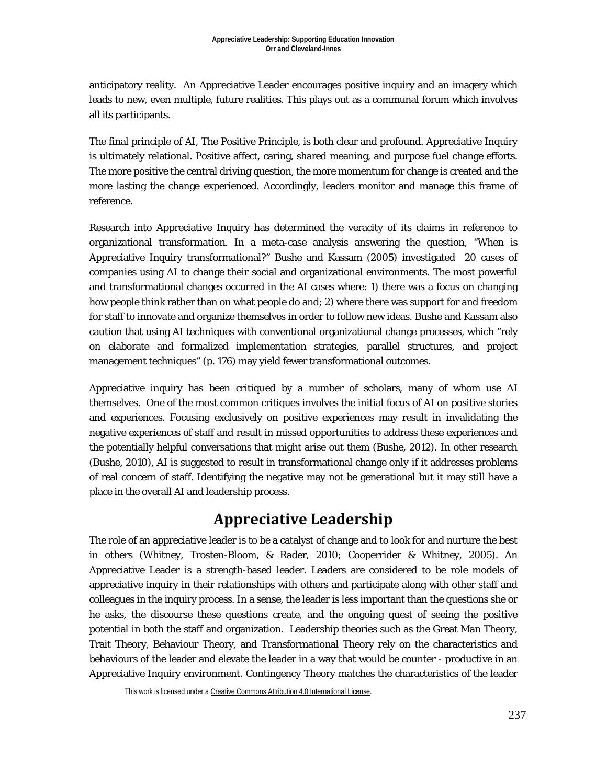anticipatory reality. An Appreciative Leader encourages positive inquiry and an imagery which leads to new, even multiple, future realities. This plays out as a communal forum which involves all its participants.

The final principle of AI, The Positive Principle, is both clear and profound. Appreciative Inquiry is ultimately relational. Positive affect, caring, shared meaning, and purpose fuel change efforts. The more positive the central driving question, the more momentum for change is created and the more lasting the change experienced. Accordingly, leaders monitor and manage this frame of reference.

Research into Appreciative Inquiry has determined the veracity of its claims in reference to organizational transformation. In a meta-case analysis answering the question, "When is Appreciative Inquiry transformational?" Bushe and Kassam (2005) investigated 20 cases of companies using AI to change their social and organizational environments. The most powerful and transformational changes occurred in the AI cases where: 1) there was a focus on changing how people think rather than on what people do and; 2) where there was support for and freedom for staff to innovate and organize themselves in order to follow new ideas. Bushe and Kassam also caution that using AI techniques with conventional organizational change processes, which "rely on elaborate and formalized implementation strategies, parallel structures, and project management techniques" (p. 176) may yield fewer transformational outcomes.

Appreciative inquiry has been critiqued by a number of scholars, many of whom use AI themselves. One of the most common critiques involves the initial focus of AI on positive stories and experiences. Focusing exclusively on positive experiences may result in invalidating the negative experiences of staff and result in missed opportunities to address these experiences and the potentially helpful conversations that might arise out them (Bushe, 2012). In other research (Bushe, 2010), AI is suggested to result in transformational change *only if* it addresses problems of real concern of staff. Identifying the negative may not be generational but it may still have a place in the overall AI and leadership process.

## **Appreciative Leadership**

The role of an appreciative leader is to be a catalyst of change and to look for and nurture the best in others (Whitney, Trosten-Bloom, & Rader, 2010; Cooperrider & Whitney, 2005). An Appreciative Leader is a strength-based leader. Leaders are considered to be role models of appreciative inquiry in their relationships with others and participate along with other staff and colleagues in the inquiry process. In a sense, the leader is less important than the questions she or he asks, the discourse these questions create, and the ongoing quest of seeing the positive potential in both the staff and organization. Leadership theories such as the Great Man Theory, Trait Theory, Behaviour Theory, and Transformational Theory rely on the characteristics and behaviours of the leader and elevate the leader in a way that would be counter - productive in an Appreciative Inquiry environment. Contingency Theory matches the characteristics of the leader

This work is licensed under [a Creative Commons Attribution 4.0 International License.](http://creativecommons.org/licenses/by/4.0/)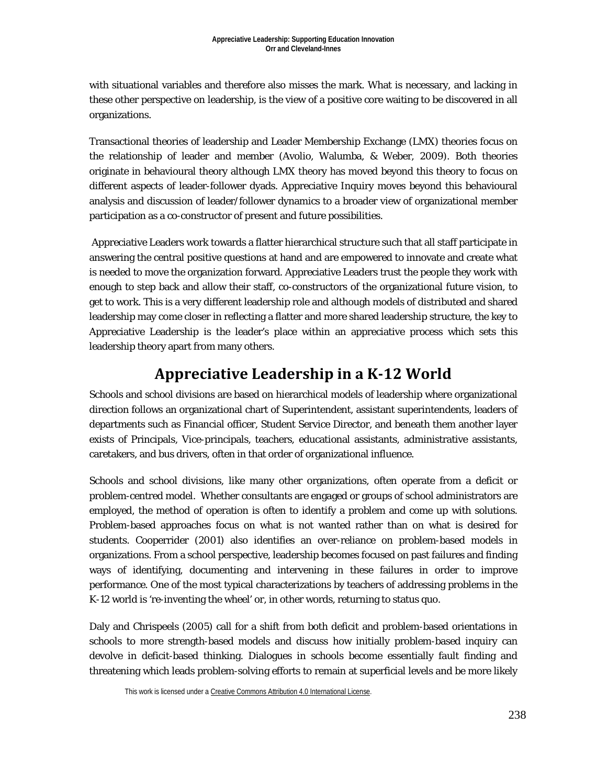with situational variables and therefore also misses the mark. What is necessary, and lacking in these other perspective on leadership, is the view of a positive core waiting to be discovered in all organizations.

Transactional theories of leadership and Leader Membership Exchange (LMX) theories focus on the relationship of leader and member (Avolio, Walumba, & Weber, 2009). Both theories originate in behavioural theory although LMX theory has moved beyond this theory to focus on different aspects of leader-follower dyads. Appreciative Inquiry moves beyond this behavioural analysis and discussion of leader/follower dynamics to a broader view of organizational member participation as a co-constructor of present and future possibilities.

Appreciative Leaders work towards a flatter hierarchical structure such that all staff participate in answering the central positive questions at hand and are empowered to innovate and create what is needed to move the organization forward. Appreciative Leaders trust the people they work with enough to step back and allow their staff, co-constructors of the organizational future vision, to get to work. This is a very different leadership role and although models of distributed and shared leadership may come closer in reflecting a flatter and more shared leadership structure, the key to Appreciative Leadership is the leader's place within an appreciative process which sets this leadership theory apart from many others.

## **Appreciative Leadership in a K-12 World**

Schools and school divisions are based on hierarchical models of leadership where organizational direction follows an organizational chart of Superintendent, assistant superintendents, leaders of departments such as Financial officer, Student Service Director, and beneath them another layer exists of Principals, Vice-principals, teachers, educational assistants, administrative assistants, caretakers, and bus drivers, often in that order of organizational influence.

Schools and school divisions, like many other organizations, often operate from a deficit or problem-centred model. Whether consultants are engaged or groups of school administrators are employed, the method of operation is often to identify a problem and come up with solutions. Problem-based approaches focus on what is not wanted rather than on what is desired for students. Cooperrider (2001) also identifies an over-reliance on problem-based models in organizations. From a school perspective, leadership becomes focused on past failures and finding ways of identifying, documenting and intervening in these failures in order to improve performance. One of the most typical characterizations by teachers of addressing problems in the K-12 world is 're-inventing the wheel' or, in other words, returning to status quo.

Daly and Chrispeels (2005) call for a shift from both deficit and problem-based orientations in schools to more strength-based models and discuss how initially problem-based inquiry can devolve in deficit-based thinking. Dialogues in schools become essentially fault finding and threatening which leads problem-solving efforts to remain at superficial levels and be more likely

This work is licensed under [a Creative Commons Attribution 4.0 International License.](http://creativecommons.org/licenses/by/4.0/)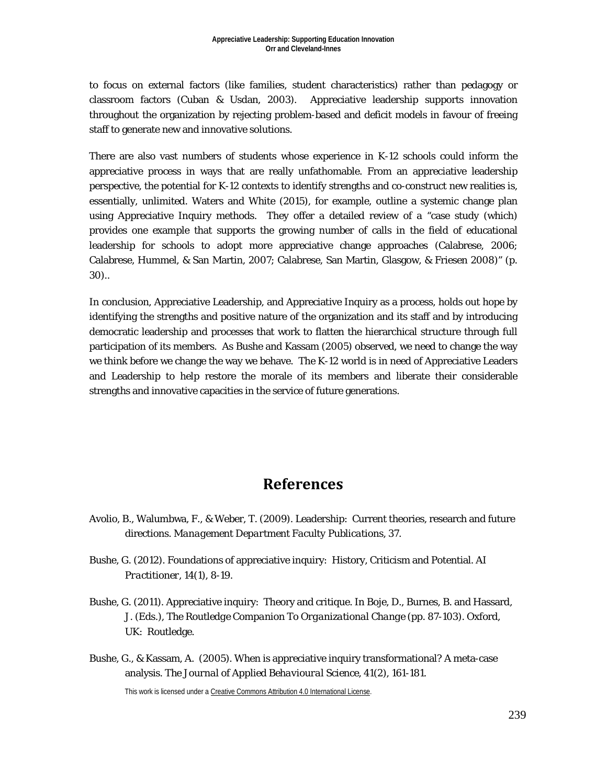to focus on external factors (like families, student characteristics) rather than pedagogy or classroom factors (Cuban & Usdan, 2003). Appreciative leadership supports innovation throughout the organization by rejecting problem-based and deficit models in favour of freeing staff to generate new and innovative solutions.

There are also vast numbers of students whose experience in K-12 schools could inform the appreciative process in ways that are really unfathomable. From an appreciative leadership perspective, the potential for K-12 contexts to identify strengths and co-construct new realities is, essentially, unlimited. Waters and White (2015), for example, outline a systemic change plan using Appreciative Inquiry methods. They offer a detailed review of a "case study (which) provides one example that supports the growing number of calls in the field of educational leadership for schools to adopt more appreciative change approaches (Calabrese, 2006; Calabrese, Hummel, & San Martin, 2007; Calabrese, San Martin, Glasgow, & Friesen 2008)" (p. 30)..

In conclusion, Appreciative Leadership, and Appreciative Inquiry as a process, holds out hope by identifying the strengths and positive nature of the organization and its staff and by introducing democratic leadership and processes that work to flatten the hierarchical structure through full participation of its members. As Bushe and Kassam (2005) observed, we need to change the way we think before we change the way we behave. The K-12 world is in need of Appreciative Leaders and Leadership to help restore the morale of its members and liberate their considerable strengths and innovative capacities in the service of future generations.

#### **References**

- Avolio, B., Walumbwa, F., & Weber, T. (2009). Leadership: Current theories, research and future directions. *Management Department Faculty Publications,* 37.
- Bushe, G. (2012). Foundations of appreciative inquiry: History, Criticism and Potential. *AI Practitioner*, *14*(1), 8-19.
- Bushe, G. (2011). Appreciative inquiry: Theory and critique. In Boje, D., Burnes, B. and Hassard, J. (Eds.), *The Routledge Companion To Organizational Change (pp. 87-103)*. Oxford, UK: Routledge.
- Bushe, G., & Kassam, A. (2005). When is appreciative inquiry transformational? A meta-case analysis. *The Journal of Applied Behavioural Science, 41*(2), 161-181.

This work is licensed under [a Creative Commons Attribution 4.0 International License.](http://creativecommons.org/licenses/by/4.0/)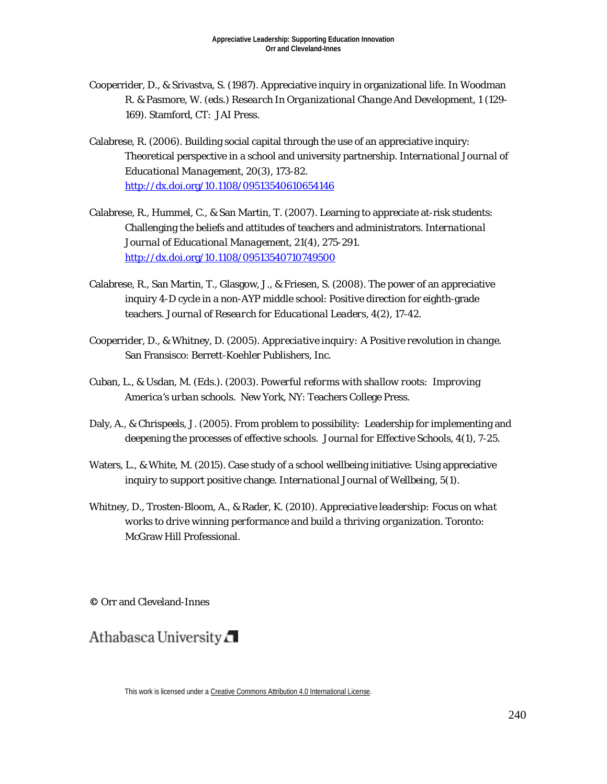- Cooperrider, D., & Srivastva, S. (1987). Appreciative inquiry in organizational life. In Woodman R. & Pasmore, W. (eds.) *Research In Organizational Change And Development, 1* (129- 169). Stamford, CT: JAI Press.
- Calabrese, R. (2006). Building social capital through the use of an appreciative inquiry: Theoretical perspective in a school and university partnership. *International Journal of Educational Management, 20*(3), 173-82. <http://dx.doi.org/10.1108/09513540610654146>
- Calabrese, R., Hummel, C., & San Martin, T. (2007). Learning to appreciate at-risk students: Challenging the beliefs and attitudes of teachers and administrators. *International Journal of Educational Management, 21*(4), 275-291. <http://dx.doi.org/10.1108/09513540710749500>
- Calabrese, R., San Martin, T., Glasgow, J., & Friesen, S. (2008). The power of an appreciative inquiry 4-D cycle in a non-AYP middle school: Positive direction for eighth-grade teachers. *Journal of Research for Educational Leaders, 4*(2), 17-42.
- Cooperrider, D., & Whitney, D. (2005). *Appreciative inquiry: A Positive revolution in change.* San Fransisco: Berrett-Koehler Publishers, Inc.
- Cuban, L., & Usdan, M. (Eds.). (2003). *Powerful reforms with shallow roots: Improving America's urban schools.* New York, NY: Teachers College Press.
- Daly, A., & Chrispeels, J. (2005). From problem to possibility: Leadership for implementing and deepening the processes of effective schools. *Journal for Effective Schools*, *4*(1), 7-25.
- Waters, L., & White, M. (2015). Case study of a school wellbeing initiative: Using appreciative inquiry to support positive change. *International Journal of Wellbeing, 5*(1).
- Whitney, D., Trosten-Bloom, A., & Rader, K. (2010). *Appreciative leadership: Focus on what works to drive winning performance and build a thriving organization.* Toronto: McGraw Hill Professional.

**©** Orr and Cleveland-Innes

Athabasca University

This work is licensed under [a Creative Commons Attribution 4.0 International License.](http://creativecommons.org/licenses/by/4.0/)